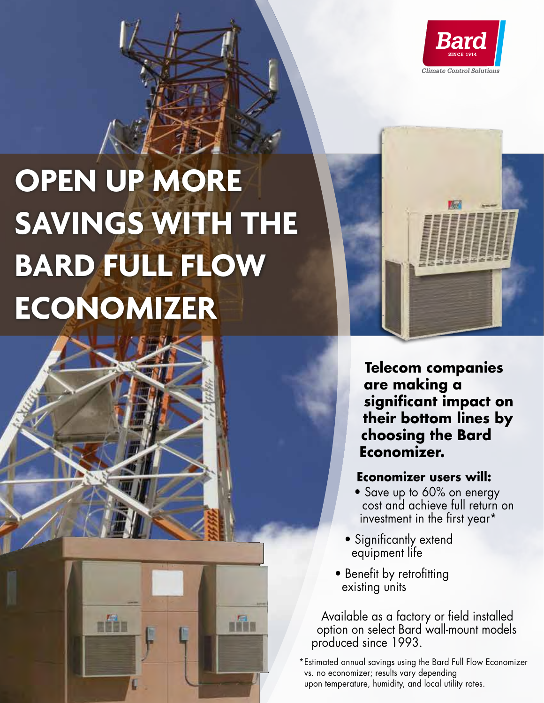

# **OPEN UP MORE SAVINGS WITH THE BARD FULL FLOW ECONOMIZER**

din

n<sup>13</sup>



## **Economizer users will:**

- Save up to 60% on energy cost and achieve full return on investment in the first year\*
- Significantly extend equipment life
- Benefit by retrofitting existing units

Available as a factory or field installed option on select Bard wall-mount models produced since 1993.

\*Estimated annual savings using the Bard Full Flow Economizer vs. no economizer; results vary depending upon temperature, humidity, and local utility rates.